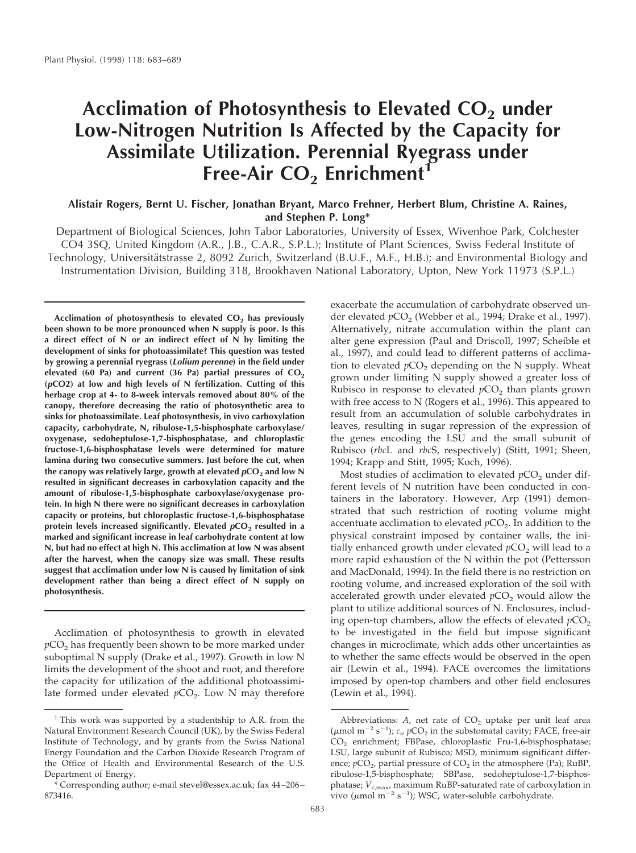# Acclimation of Photosynthesis to Elevated CO<sub>2</sub> under **Low-Nitrogen Nutrition Is Affected by the Capacity for Assimilate Utilization. Perennial Ryegrass under Free-Air CO<sub>2</sub> Enrichment<sup>1</sup>**

# **Alistair Rogers, Bernt U. Fischer, Jonathan Bryant, Marco Frehner, Herbert Blum, Christine A. Raines, and Stephen P. Long\***

Department of Biological Sciences, John Tabor Laboratories, University of Essex, Wivenhoe Park, Colchester CO4 3SQ, United Kingdom (A.R., J.B., C.A.R., S.P.L.); Institute of Plant Sciences, Swiss Federal Institute of Technology, Universitätstrasse 2, 8092 Zurich, Switzerland (B.U.F., M.F., H.B.); and Environmental Biology and Instrumentation Division, Building 318, Brookhaven National Laboratory, Upton, New York 11973 (S.P.L.)

Acclimation of photosynthesis to elevated CO<sub>2</sub> has previously **been shown to be more pronounced when N supply is poor. Is this a direct effect of N or an indirect effect of N by limiting the development of sinks for photoassimilate? This question was tested by growing a perennial ryegrass (Lolium perenne) in the field under** elevated (60 Pa) and current (36 Pa) partial pressures of CO<sub>2</sub> **(pCO2) at low and high levels of N fertilization. Cutting of this herbage crop at 4- to 8-week intervals removed about 80% of the canopy, therefore decreasing the ratio of photosynthetic area to sinks for photoassimilate. Leaf photosynthesis, in vivo carboxylation capacity, carbohydrate, N, ribulose-1,5-bisphosphate carboxylase/ oxygenase, sedoheptulose-1,7-bisphosphatase, and chloroplastic fructose-1,6-bisphosphatase levels were determined for mature lamina during two consecutive summers. Just before the cut, when** the canopy was relatively large, growth at elevated  $pCO<sub>2</sub>$  and low N **resulted in significant decreases in carboxylation capacity and the amount of ribulose-1,5-bisphosphate carboxylase/oxygenase protein. In high N there were no significant decreases in carboxylation capacity or proteins, but chloroplastic fructose-1,6-bisphosphatase protein levels increased significantly. Elevated**  $pCO<sub>2</sub>$  **resulted in a marked and significant increase in leaf carbohydrate content at low N, but had no effect at high N. This acclimation at low N was absent after the harvest, when the canopy size was small. These results suggest that acclimation under low N is caused by limitation of sink development rather than being a direct effect of N supply on photosynthesis.**

Acclimation of photosynthesis to growth in elevated  $pCO<sub>2</sub>$  has frequently been shown to be more marked under suboptimal N supply (Drake et al., 1997). Growth in low N limits the development of the shoot and root, and therefore the capacity for utilization of the additional photoassimilate formed under elevated  $pCO<sub>2</sub>$ . Low N may therefore exacerbate the accumulation of carbohydrate observed under elevated  $pCO<sub>2</sub>$  (Webber et al., 1994; Drake et al., 1997). Alternatively, nitrate accumulation within the plant can alter gene expression (Paul and Driscoll, 1997; Scheible et al., 1997), and could lead to different patterns of acclimation to elevated  $pCO<sub>2</sub>$  depending on the N supply. Wheat grown under limiting N supply showed a greater loss of Rubisco in response to elevated  $pCO<sub>2</sub>$  than plants grown with free access to N (Rogers et al., 1996). This appeared to result from an accumulation of soluble carbohydrates in leaves, resulting in sugar repression of the expression of the genes encoding the LSU and the small subunit of Rubisco (*rbc*L and *rbc*S, respectively) (Stitt, 1991; Sheen, 1994; Krapp and Stitt, 1995; Koch, 1996).

Most studies of acclimation to elevated *p*CO<sub>2</sub> under different levels of N nutrition have been conducted in containers in the laboratory. However, Arp (1991) demonstrated that such restriction of rooting volume might accentuate acclimation to elevated  $pCO<sub>2</sub>$ . In addition to the physical constraint imposed by container walls, the initially enhanced growth under elevated  $pCO<sub>2</sub>$  will lead to a more rapid exhaustion of the N within the pot (Pettersson and MacDonald, 1994). In the field there is no restriction on rooting volume, and increased exploration of the soil with accelerated growth under elevated  $pCO<sub>2</sub>$  would allow the plant to utilize additional sources of N. Enclosures, including open-top chambers, allow the effects of elevated  $pCO<sub>2</sub>$ to be investigated in the field but impose significant changes in microclimate, which adds other uncertainties as to whether the same effects would be observed in the open air (Lewin et al., 1994). FACE overcomes the limitations imposed by open-top chambers and other field enclosures (Lewin et al., 1994).

<sup>&</sup>lt;sup>1</sup> This work was supported by a studentship to A.R. from the Natural Environment Research Council (UK), by the Swiss Federal Institute of Technology, and by grants from the Swiss National Energy Foundation and the Carbon Dioxide Research Program of the Office of Health and Environmental Research of the U.S. Department of Energy.

<sup>\*</sup> Corresponding author; e-mail stevel@essex.ac.uk; fax 44–206– 873416.

Abbreviations:  $A$ , net rate of  $CO<sub>2</sub>$  uptake per unit leaf area ( $\mu$ mol m<sup>-2</sup> s<sup>-1</sup>);  $c_i$ ,  $pCO_2$  in the substomatal cavity; FACE, free-air CO<sub>2</sub> enrichment; FBPase, chloroplastic Fru-1,6-bisphosphatase; LSU, large subunit of Rubisco; MSD, minimum significant difference;  $pCO<sub>2</sub>$ , partial pressure of  $CO<sub>2</sub>$  in the atmosphere (Pa); RuBP, ribulose-1,5-bisphosphate; SBPase, sedoheptulose-1,7-bisphosphatase;  $V_{c,max}$  maximum RuBP-saturated rate of carboxylation in vivo ( $\mu$ mol m<sup>-2</sup> s<sup>-1</sup>); WSC, water-soluble carbohydrate.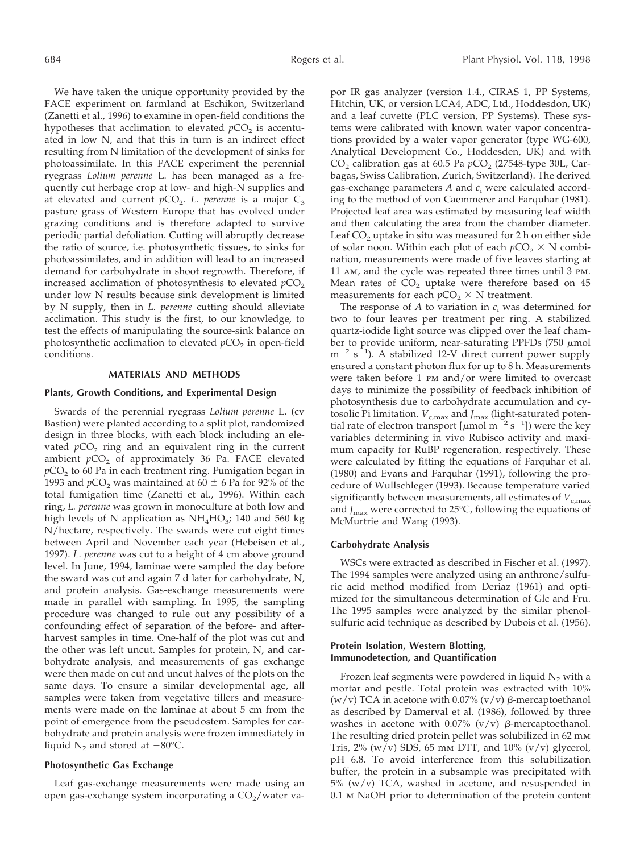We have taken the unique opportunity provided by the FACE experiment on farmland at Eschikon, Switzerland (Zanetti et al., 1996) to examine in open-field conditions the hypotheses that acclimation to elevated  $pCO<sub>2</sub>$  is accentuated in low N, and that this in turn is an indirect effect resulting from N limitation of the development of sinks for photoassimilate. In this FACE experiment the perennial ryegrass *Lolium perenne* L. has been managed as a frequently cut herbage crop at low- and high-N supplies and at elevated and current  $pCO<sub>2</sub>$ . *L. perenne* is a major  $C<sub>3</sub>$ pasture grass of Western Europe that has evolved under grazing conditions and is therefore adapted to survive periodic partial defoliation. Cutting will abruptly decrease the ratio of source, i.e. photosynthetic tissues, to sinks for photoassimilates, and in addition will lead to an increased demand for carbohydrate in shoot regrowth. Therefore, if increased acclimation of photosynthesis to elevated  $pCO<sub>2</sub>$ under low N results because sink development is limited by N supply, then in *L. perenne* cutting should alleviate acclimation. This study is the first, to our knowledge, to test the effects of manipulating the source-sink balance on photosynthetic acclimation to elevated  $pCO<sub>2</sub>$  in open-field conditions.

## **MATERIALS AND METHODS**

#### **Plants, Growth Conditions, and Experimental Design**

Swards of the perennial ryegrass *Lolium perenne* L. (cv Bastion) were planted according to a split plot, randomized design in three blocks, with each block including an elevated  $pCO<sub>2</sub>$  ring and an equivalent ring in the current ambient  $pCO<sub>2</sub>$  of approximately 36 Pa. FACE elevated  $pCO<sub>2</sub>$  to 60 Pa in each treatment ring. Fumigation began in 1993 and  $pCO<sub>2</sub>$  was maintained at 60  $\pm$  6 Pa for 92% of the total fumigation time (Zanetti et al., 1996). Within each ring, *L. perenne* was grown in monoculture at both low and high levels of N application as  $NH<sub>4</sub>HO<sub>3</sub>$ ; 140 and 560 kg N/hectare, respectively. The swards were cut eight times between April and November each year (Hebeisen et al., 1997). *L. perenne* was cut to a height of 4 cm above ground level. In June, 1994, laminae were sampled the day before the sward was cut and again 7 d later for carbohydrate, N, and protein analysis. Gas-exchange measurements were made in parallel with sampling. In 1995, the sampling procedure was changed to rule out any possibility of a confounding effect of separation of the before- and afterharvest samples in time. One-half of the plot was cut and the other was left uncut. Samples for protein, N, and carbohydrate analysis, and measurements of gas exchange were then made on cut and uncut halves of the plots on the same days. To ensure a similar developmental age, all samples were taken from vegetative tillers and measurements were made on the laminae at about 5 cm from the point of emergence from the pseudostem. Samples for carbohydrate and protein analysis were frozen immediately in liquid  $N_2$  and stored at  $-80^{\circ}$ C.

#### **Photosynthetic Gas Exchange**

Leaf gas-exchange measurements were made using an open gas-exchange system incorporating a  $CO<sub>2</sub>/water$  vapor IR gas analyzer (version 1.4., CIRAS 1, PP Systems, Hitchin, UK, or version LCA4, ADC, Ltd., Hoddesdon, UK) and a leaf cuvette (PLC version, PP Systems). These systems were calibrated with known water vapor concentrations provided by a water vapor generator (type WG-600, Analytical Development Co., Hoddesden, UK) and with  $CO<sub>2</sub>$  calibration gas at 60.5 Pa  $pCO<sub>2</sub>$  (27548-type 30L, Carbagas, Swiss Calibration, Zurich, Switzerland). The derived gas-exchange parameters *A* and *c*<sup>i</sup> were calculated according to the method of von Caemmerer and Farquhar (1981). Projected leaf area was estimated by measuring leaf width and then calculating the area from the chamber diameter. Leaf  $CO<sub>2</sub>$  uptake in situ was measured for 2 h on either side of solar noon. Within each plot of each  $pCO_2 \times N$  combination, measurements were made of five leaves starting at 11 am, and the cycle was repeated three times until 3 pm. Mean rates of  $CO<sub>2</sub>$  uptake were therefore based on 45 measurements for each  $pCO_2 \times N$  treatment.

The response of  $A$  to variation in  $c_i$  was determined for two to four leaves per treatment per ring. A stabilized quartz-iodide light source was clipped over the leaf chamber to provide uniform, near-saturating PPFDs  $(750 \mu mol)$  $m^{-2}$  s<sup>-1</sup>). A stabilized 12-V direct current power supply ensured a constant photon flux for up to 8 h. Measurements were taken before 1 pm and/or were limited to overcast days to minimize the possibility of feedback inhibition of photosynthesis due to carbohydrate accumulation and cytosolic Pi limitation.  $V_{c,\text{max}}$  and  $J_{\text{max}}$  (light-saturated potential rate of electron transport  $\left[\mu$ mol m<sup>-2</sup> s<sup>-1</sup>]) were the key variables determining in vivo Rubisco activity and maximum capacity for RuBP regeneration, respectively. These were calculated by fitting the equations of Farquhar et al. (1980) and Evans and Farquhar (1991), following the procedure of Wullschleger (1993). Because temperature varied significantly between measurements, all estimates of  $V_{c,\text{max}}$ and  $J_{\text{max}}$  were corrected to 25°C, following the equations of McMurtrie and Wang (1993).

## **Carbohydrate Analysis**

WSCs were extracted as described in Fischer et al. (1997). The 1994 samples were analyzed using an anthrone/sulfuric acid method modified from Deriaz (1961) and optimized for the simultaneous determination of Glc and Fru. The 1995 samples were analyzed by the similar phenolsulfuric acid technique as described by Dubois et al. (1956).

# **Protein Isolation, Western Blotting, Immunodetection, and Quantification**

Frozen leaf segments were powdered in liquid  $N_2$  with a mortar and pestle. Total protein was extracted with 10% (w/v) TCA in acetone with 0.07% (v/v)  $\beta$ -mercaptoethanol as described by Damerval et al. (1986), followed by three washes in acetone with 0.07% ( $v/v$ )  $\beta$ -mercaptoethanol. The resulting dried protein pellet was solubilized in 62 mm Tris,  $2\%$  (w/v) SDS, 65 mm DTT, and  $10\%$  (v/v) glycerol, pH 6.8. To avoid interference from this solubilization buffer, the protein in a subsample was precipitated with 5% (w/v) TCA, washed in acetone, and resuspended in 0.1 m NaOH prior to determination of the protein content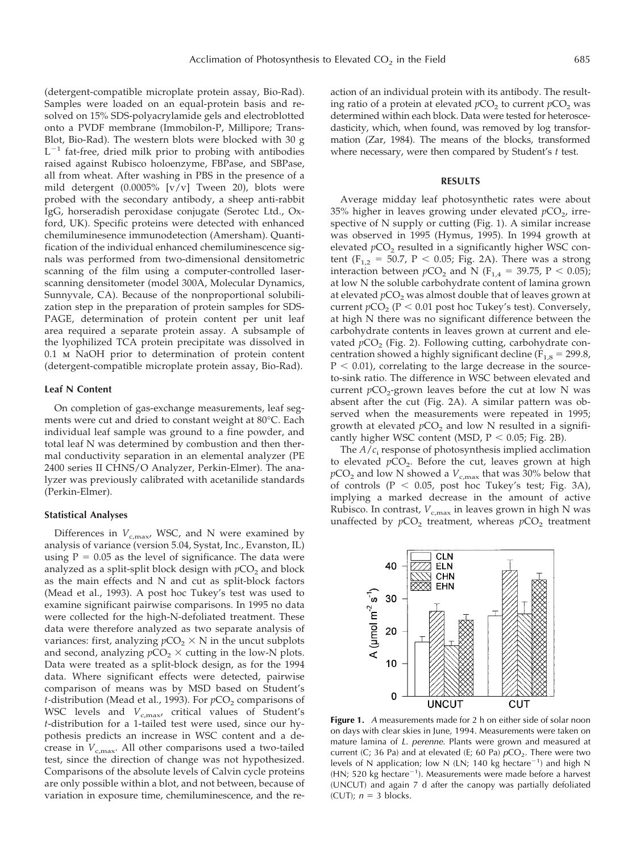(detergent-compatible microplate protein assay, Bio-Rad). Samples were loaded on an equal-protein basis and resolved on 15% SDS-polyacrylamide gels and electroblotted onto a PVDF membrane (Immobilon-P, Millipore; Trans-Blot, Bio-Rad). The western blots were blocked with 30 g  $L^{-1}$  fat-free, dried milk prior to probing with antibodies raised against Rubisco holoenzyme, FBPase, and SBPase, all from wheat. After washing in PBS in the presence of a mild detergent (0.0005% [v/v] Tween 20), blots were probed with the secondary antibody, a sheep anti-rabbit IgG, horseradish peroxidase conjugate (Serotec Ltd., Oxford, UK). Specific proteins were detected with enhanced chemiluminesence immunodetection (Amersham). Quantification of the individual enhanced chemiluminescence signals was performed from two-dimensional densitometric scanning of the film using a computer-controlled laserscanning densitometer (model 300A, Molecular Dynamics, Sunnyvale, CA). Because of the nonproportional solubilization step in the preparation of protein samples for SDS-PAGE, determination of protein content per unit leaf area required a separate protein assay. A subsample of the lyophilized TCA protein precipitate was dissolved in 0.1 m NaOH prior to determination of protein content (detergent-compatible microplate protein assay, Bio-Rad).

#### **Leaf N Content**

On completion of gas-exchange measurements, leaf segments were cut and dried to constant weight at 80°C. Each individual leaf sample was ground to a fine powder, and total leaf N was determined by combustion and then thermal conductivity separation in an elemental analyzer (PE 2400 series II CHNS/O Analyzer, Perkin-Elmer). The analyzer was previously calibrated with acetanilide standards (Perkin-Elmer).

#### **Statistical Analyses**

Differences in  $V_{c,\text{max}}$ , WSC, and N were examined by analysis of variance (version 5.04, Systat, Inc., Evanston, IL) using  $P = 0.05$  as the level of significance. The data were analyzed as a split-split block design with  $pCO<sub>2</sub>$  and block as the main effects and N and cut as split-block factors (Mead et al., 1993). A post hoc Tukey's test was used to examine significant pairwise comparisons. In 1995 no data were collected for the high-N-defoliated treatment. These data were therefore analyzed as two separate analysis of variances: first, analyzing  $pCO_2 \times N$  in the uncut subplots and second, analyzing  $pCO_2 \times$  cutting in the low-N plots. Data were treated as a split-block design, as for the 1994 data. Where significant effects were detected, pairwise comparison of means was by MSD based on Student's *t*-distribution (Mead et al., 1993). For  $pCO<sub>2</sub>$  comparisons of WSC levels and  $V_{c,\text{max}}$  critical values of Student's *t*-distribution for a 1-tailed test were used, since our hypothesis predicts an increase in WSC content and a decrease in  $V_{c,\text{max}}$ . All other comparisons used a two-tailed test, since the direction of change was not hypothesized. Comparisons of the absolute levels of Calvin cycle proteins are only possible within a blot, and not between, because of variation in exposure time, chemiluminescence, and the reaction of an individual protein with its antibody. The resulting ratio of a protein at elevated  $pCO<sub>2</sub>$  to current  $pCO<sub>2</sub>$  was determined within each block. Data were tested for heteroscedasticity, which, when found, was removed by log transformation (Zar, 1984). The means of the blocks, transformed where necessary, were then compared by Student's *t* test.

#### **RESULTS**

Average midday leaf photosynthetic rates were about 35% higher in leaves growing under elevated  $pCO<sub>2</sub>$ , irrespective of N supply or cutting (Fig. 1). A similar increase was observed in 1995 (Hymus, 1995). In 1994 growth at elevated  $pCO<sub>2</sub>$  resulted in a significantly higher WSC content ( $F_{1,2} = 50.7$ ,  $P < 0.05$ ; Fig. 2A). There was a strong interaction between  $pCO_2$  and N (F<sub>1,4</sub> = 39.75, P < 0.05); at low N the soluble carbohydrate content of lamina grown at elevated  $pCO<sub>2</sub>$  was almost double that of leaves grown at current  $pCO<sub>2</sub>$  ( $P < 0.01$  post hoc Tukey's test). Conversely, at high N there was no significant difference between the carbohydrate contents in leaves grown at current and elevated  $pCO<sub>2</sub>$  (Fig. 2). Following cutting, carbohydrate concentration showed a highly significant decline  $(F_{1,8} = 299.8$ ,  $P < 0.01$ ), correlating to the large decrease in the sourceto-sink ratio. The difference in WSC between elevated and current  $pCO_2$ -grown leaves before the cut at low N was absent after the cut (Fig. 2A). A similar pattern was observed when the measurements were repeated in 1995; growth at elevated  $pCO<sub>2</sub>$  and low N resulted in a significantly higher WSC content (MSD,  $P < 0.05$ ; Fig. 2B).

The  $A/c<sub>i</sub>$  response of photosynthesis implied acclimation to elevated  $pCO<sub>2</sub>$ . Before the cut, leaves grown at high  $pCO<sub>2</sub>$  and low N showed a  $V<sub>c,max</sub>$  that was 30% below that of controls ( $P < 0.05$ , post hoc Tukey's test; Fig. 3A), implying a marked decrease in the amount of active Rubisco. In contrast,  $V_{c,max}$  in leaves grown in high N was unaffected by  $pCO<sub>2</sub>$  treatment, whereas  $pCO<sub>2</sub>$  treatment



**Figure 1.** A measurements made for 2 h on either side of solar noon on days with clear skies in June, 1994. Measurements were taken on mature lamina of L. perenne. Plants were grown and measured at current (C; 36 Pa) and at elevated (E; 60 Pa)  $pCO<sub>2</sub>$ . There were two levels of N application; low N (LN; 140 kg hectare<sup>-1</sup>) and high N (HN; 520 kg hectare<sup>-1</sup>). Measurements were made before a harvest (UNCUT) and again 7 d after the canopy was partially defoliated (CUT);  $n = 3$  blocks.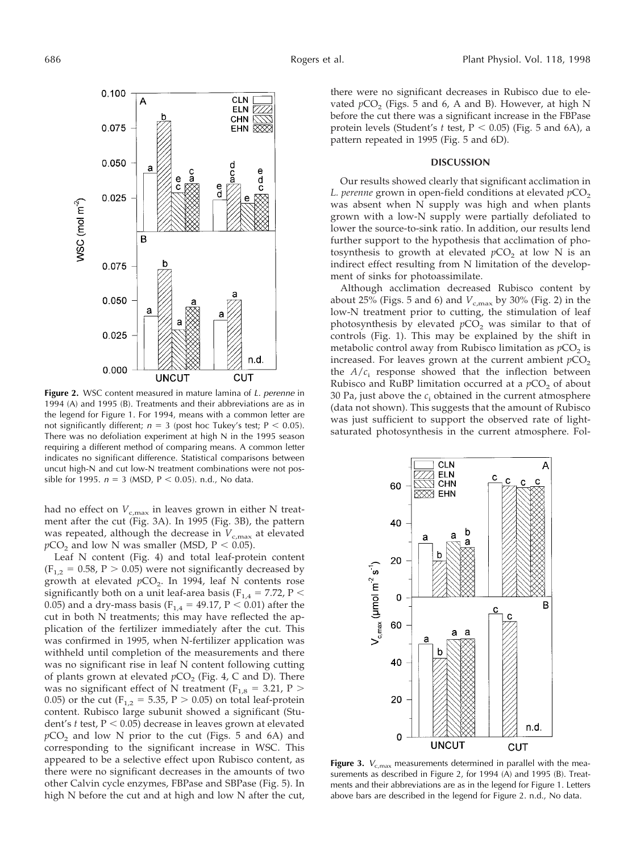

Figure 2. WSC content measured in mature lamina of L. perenne in 1994 (A) and 1995 (B). Treatments and their abbreviations are as in the legend for Figure 1. For 1994, means with a common letter are not significantly different;  $n = 3$  (post hoc Tukey's test; P < 0.05). There was no defoliation experiment at high N in the 1995 season requiring a different method of comparing means. A common letter indicates no significant difference. Statistical comparisons between uncut high-N and cut low-N treatment combinations were not possible for 1995.  $n = 3$  (MSD, P < 0.05). n.d., No data.

had no effect on  $V_{c,\text{max}}$  in leaves grown in either N treatment after the cut (Fig. 3A). In 1995 (Fig. 3B), the pattern was repeated, although the decrease in  $V_{c,\text{max}}$  at elevated  $pCO<sub>2</sub>$  and low N was smaller (MSD,  $P < 0.05$ ).

Leaf N content (Fig. 4) and total leaf-protein content  $(F_{1,2} = 0.58, P > 0.05)$  were not significantly decreased by growth at elevated  $pCO<sub>2</sub>$ . In 1994, leaf N contents rose significantly both on a unit leaf-area basis ( $F_{1,4} = 7.72$ ,  $P <$ 0.05) and a dry-mass basis ( $F_{1,4} = 49.17$ ,  $P < 0.01$ ) after the cut in both N treatments; this may have reflected the application of the fertilizer immediately after the cut. This was confirmed in 1995, when N-fertilizer application was withheld until completion of the measurements and there was no significant rise in leaf N content following cutting of plants grown at elevated  $pCO<sub>2</sub>$  (Fig. 4, C and D). There was no significant effect of N treatment ( $F_{1,8} = 3.21$ , P > 0.05) or the cut ( $F_{1,2} = 5.35$ ,  $P > 0.05$ ) on total leaf-protein content. Rubisco large subunit showed a significant (Student's  $t$  test,  $P < 0.05$ ) decrease in leaves grown at elevated  $pCO<sub>2</sub>$  and low N prior to the cut (Figs. 5 and 6A) and corresponding to the significant increase in WSC. This appeared to be a selective effect upon Rubisco content, as there were no significant decreases in the amounts of two other Calvin cycle enzymes, FBPase and SBPase (Fig. 5). In high N before the cut and at high and low N after the cut, there were no significant decreases in Rubisco due to elevated  $pCO<sub>2</sub>$  (Figs. 5 and 6, A and B). However, at high N before the cut there was a significant increase in the FBPase protein levels (Student's  $t$  test,  $P < 0.05$ ) (Fig. 5 and 6A), a pattern repeated in 1995 (Fig. 5 and 6D).

#### **DISCUSSION**

Our results showed clearly that significant acclimation in *L. perenne* grown in open-field conditions at elevated  $pCO<sub>2</sub>$ was absent when N supply was high and when plants grown with a low-N supply were partially defoliated to lower the source-to-sink ratio. In addition, our results lend further support to the hypothesis that acclimation of photosynthesis to growth at elevated  $pCO<sub>2</sub>$  at low N is an indirect effect resulting from N limitation of the development of sinks for photoassimilate.

Although acclimation decreased Rubisco content by about 25% (Figs. 5 and 6) and  $V_{c,\text{max}}$  by 30% (Fig. 2) in the low-N treatment prior to cutting, the stimulation of leaf photosynthesis by elevated  $pCO<sub>2</sub>$  was similar to that of controls (Fig. 1). This may be explained by the shift in metabolic control away from Rubisco limitation as  $pCO<sub>2</sub>$  is increased. For leaves grown at the current ambient  $pCO<sub>2</sub>$ the  $A/c$  response showed that the inflection between Rubisco and RuBP limitation occurred at a  $pCO<sub>2</sub>$  of about 30 Pa, just above the  $c_i$  obtained in the current atmosphere (data not shown). This suggests that the amount of Rubisco was just sufficient to support the observed rate of lightsaturated photosynthesis in the current atmosphere. Fol-



Figure 3.  $V_{c,max}$  measurements determined in parallel with the measurements as described in Figure 2, for 1994 (A) and 1995 (B). Treatments and their abbreviations are as in the legend for Figure 1. Letters above bars are described in the legend for Figure 2. n.d., No data.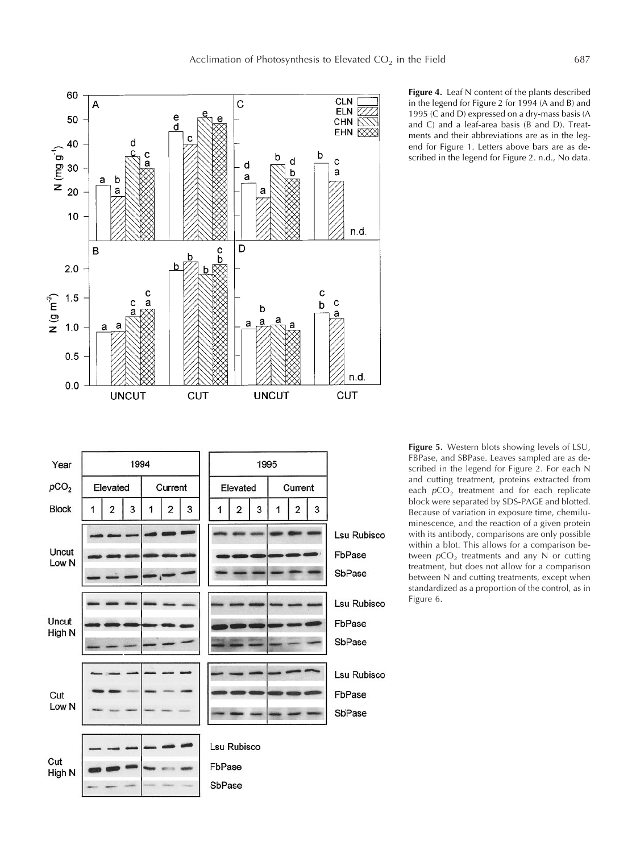



**Figure 4.** Leaf N content of the plants described in the legend for Figure 2 for 1994 (A and B) and 1995 (C and D) expressed on a dry-mass basis (A and C) and a leaf-area basis (B and D). Treatments and their abbreviations are as in the legend for Figure 1. Letters above bars are as described in the legend for Figure 2. n.d., No data.

**Figure 5.** Western blots showing levels of LSU, FBPase, and SBPase. Leaves sampled are as described in the legend for Figure 2. For each N and cutting treatment, proteins extracted from each  $pCO<sub>2</sub>$  treatment and for each replicate block were separated by SDS-PAGE and blotted. Because of variation in exposure time, chemiluminescence, and the reaction of a given protein with its antibody, comparisons are only possible within a blot. This allows for a comparison between  $pCO<sub>2</sub>$  treatments and any N or cutting treatment, but does not allow for a comparison between N and cutting treatments, except when standardized as a proportion of the control, as in Figure 6.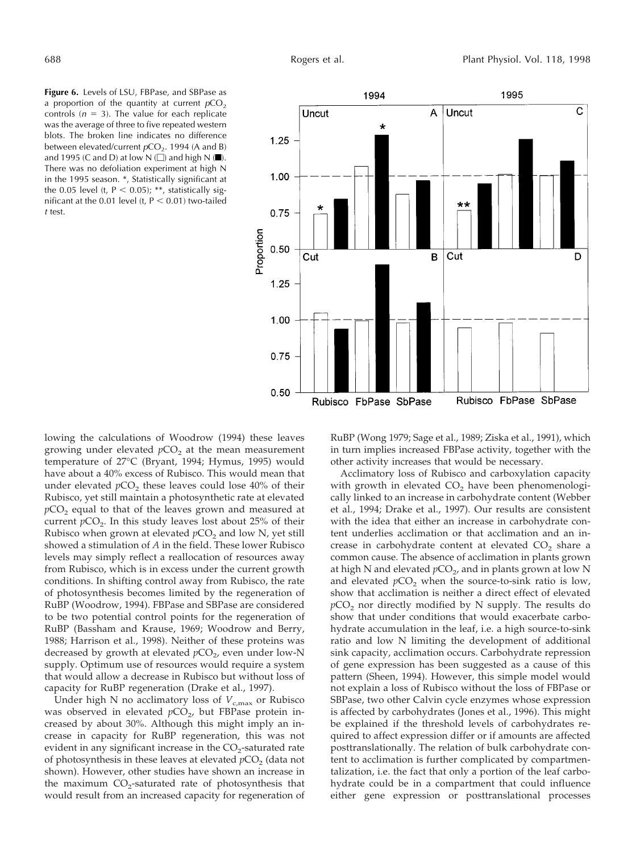**Figure 6.** Levels of LSU, FBPase, and SBPase as a proportion of the quantity at current  $pCO<sub>2</sub>$ controls ( $n = 3$ ). The value for each replicate was the average of three to five repeated western blots. The broken line indicates no difference between elevated/current  $pCO<sub>2</sub>$ . 1994 (A and B) and 1995 (C and D) at low  $N(\Box)$  and high  $N(\blacksquare)$ . There was no defoliation experiment at high N in the 1995 season. \*, Statistically significant at the 0.05 level (t,  $P < 0.05$ ); \*\*, statistically significant at the 0.01 level (t,  $P < 0.01$ ) two-tailed <sup>t</sup> test.



lowing the calculations of Woodrow (1994) these leaves growing under elevated  $pCO<sub>2</sub>$  at the mean measurement temperature of 27°C (Bryant, 1994; Hymus, 1995) would have about a 40% excess of Rubisco. This would mean that under elevated  $pCO<sub>2</sub>$  these leaves could lose  $40\%$  of their Rubisco, yet still maintain a photosynthetic rate at elevated  $pCO<sub>2</sub>$  equal to that of the leaves grown and measured at current  $pCO<sub>2</sub>$ . In this study leaves lost about 25% of their Rubisco when grown at elevated  $pCO<sub>2</sub>$  and low N, yet still showed a stimulation of *A* in the field. These lower Rubisco levels may simply reflect a reallocation of resources away from Rubisco, which is in excess under the current growth conditions. In shifting control away from Rubisco, the rate of photosynthesis becomes limited by the regeneration of RuBP (Woodrow, 1994). FBPase and SBPase are considered to be two potential control points for the regeneration of RuBP (Bassham and Krause, 1969; Woodrow and Berry, 1988; Harrison et al., 1998). Neither of these proteins was decreased by growth at elevated  $pCO<sub>2</sub>$ , even under low-N supply. Optimum use of resources would require a system that would allow a decrease in Rubisco but without loss of capacity for RuBP regeneration (Drake et al., 1997).

Under high N no acclimatory loss of  $V_{c,\text{max}}$  or Rubisco was observed in elevated  $pCO<sub>2</sub>$ , but FBPase protein increased by about 30%. Although this might imply an increase in capacity for RuBP regeneration, this was not evident in any significant increase in the  $CO<sub>2</sub>$ -saturated rate of photosynthesis in these leaves at elevated  $pCO<sub>2</sub>$  (data not shown). However, other studies have shown an increase in the maximum  $CO<sub>2</sub>$ -saturated rate of photosynthesis that would result from an increased capacity for regeneration of RuBP (Wong 1979; Sage et al., 1989; Ziska et al., 1991), which in turn implies increased FBPase activity, together with the other activity increases that would be necessary.

Acclimatory loss of Rubisco and carboxylation capacity with growth in elevated CO<sub>2</sub> have been phenomenologically linked to an increase in carbohydrate content (Webber et al., 1994; Drake et al., 1997). Our results are consistent with the idea that either an increase in carbohydrate content underlies acclimation or that acclimation and an increase in carbohydrate content at elevated  $CO<sub>2</sub>$  share a common cause. The absence of acclimation in plants grown at high N and elevated  $pCO<sub>2</sub>$ , and in plants grown at low N and elevated  $pCO<sub>2</sub>$  when the source-to-sink ratio is low, show that acclimation is neither a direct effect of elevated  $pCO<sub>2</sub>$  nor directly modified by N supply. The results do show that under conditions that would exacerbate carbohydrate accumulation in the leaf, i.e. a high source-to-sink ratio and low N limiting the development of additional sink capacity, acclimation occurs. Carbohydrate repression of gene expression has been suggested as a cause of this pattern (Sheen, 1994). However, this simple model would not explain a loss of Rubisco without the loss of FBPase or SBPase, two other Calvin cycle enzymes whose expression is affected by carbohydrates (Jones et al., 1996). This might be explained if the threshold levels of carbohydrates required to affect expression differ or if amounts are affected posttranslationally. The relation of bulk carbohydrate content to acclimation is further complicated by compartmentalization, i.e. the fact that only a portion of the leaf carbohydrate could be in a compartment that could influence either gene expression or posttranslational processes